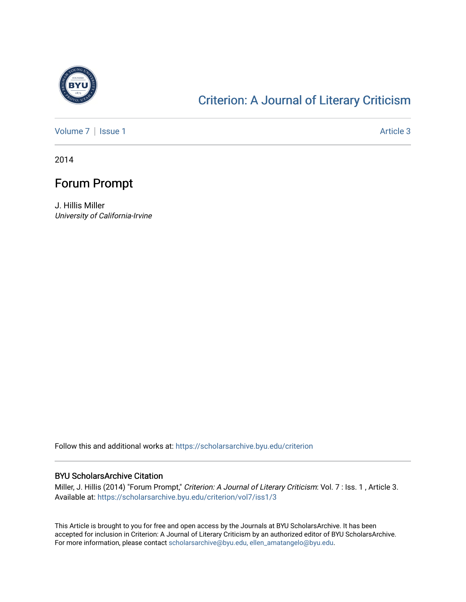

## [Criterion: A Journal of Literary Criticism](https://scholarsarchive.byu.edu/criterion)

[Volume 7](https://scholarsarchive.byu.edu/criterion/vol7) | [Issue 1](https://scholarsarchive.byu.edu/criterion/vol7/iss1) Article 3

2014

## Forum Prompt

J. Hillis Miller University of California-Irvine

Follow this and additional works at: [https://scholarsarchive.byu.edu/criterion](https://scholarsarchive.byu.edu/criterion?utm_source=scholarsarchive.byu.edu%2Fcriterion%2Fvol7%2Fiss1%2F3&utm_medium=PDF&utm_campaign=PDFCoverPages) 

## BYU ScholarsArchive Citation

Miller, J. Hillis (2014) "Forum Prompt," Criterion: A Journal of Literary Criticism: Vol. 7 : Iss. 1, Article 3. Available at: [https://scholarsarchive.byu.edu/criterion/vol7/iss1/3](https://scholarsarchive.byu.edu/criterion/vol7/iss1/3?utm_source=scholarsarchive.byu.edu%2Fcriterion%2Fvol7%2Fiss1%2F3&utm_medium=PDF&utm_campaign=PDFCoverPages) 

This Article is brought to you for free and open access by the Journals at BYU ScholarsArchive. It has been accepted for inclusion in Criterion: A Journal of Literary Criticism by an authorized editor of BYU ScholarsArchive. For more information, please contact [scholarsarchive@byu.edu, ellen\\_amatangelo@byu.edu](mailto:scholarsarchive@byu.edu,%20ellen_amatangelo@byu.edu).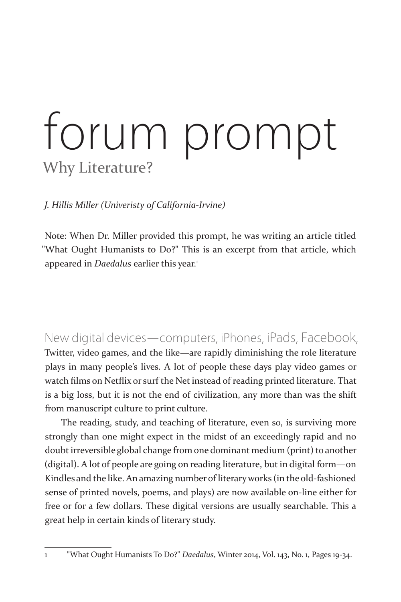## forum prompt Why Literature?

*J. Hillis Miller (Univeristy of California-Irvine)*

Note: When Dr. Miller provided this prompt, he was writing an article titled "What Ought Humanists to Do?" This is an excerpt from that article, which appeared in *Daedalus* earlier this year.<sup>1</sup>

New digital devices—computers, iPhones, iPads, Facebook, Twitter, video games, and the like—are rapidly diminishing the role literature plays in many people's lives. A lot of people these days play video games or watch films on Netflix or surf the Net instead of reading printed literature. That is a big loss, but it is not the end of civilization, any more than was the shift from manuscript culture to print culture.

The reading, study, and teaching of literature, even so, is surviving more strongly than one might expect in the midst of an exceedingly rapid and no doubt irreversible global change from one dominant medium (print) to another (digital). A lot of people are going on reading literature, but in digital form—on Kindles and the like. An amazing number of literary works (in the old-fashioned sense of printed novels, poems, and plays) are now available on-line either for free or for a few dollars. These digital versions are usually searchable. This a great help in certain kinds of literary study.

<sup>1 &</sup>quot;What Ought Humanists To Do?" *Daedalus*, Winter 2014, Vol. 143, No. 1, Pages 19-34.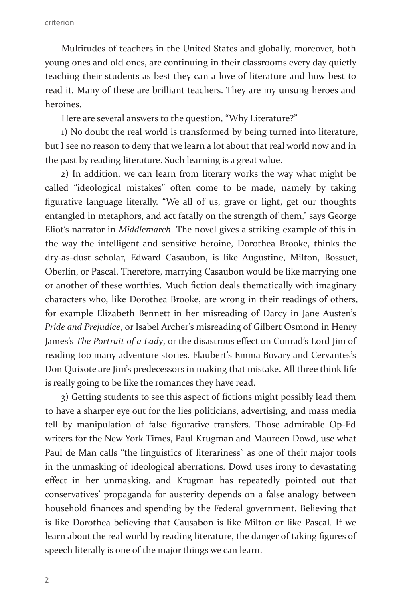Multitudes of teachers in the United States and globally, moreover, both young ones and old ones, are continuing in their classrooms every day quietly teaching their students as best they can a love of literature and how best to read it. Many of these are brilliant teachers. They are my unsung heroes and heroines.

Here are several answers to the question, "Why Literature?"

1) No doubt the real world is transformed by being turned into literature, but I see no reason to deny that we learn a lot about that real world now and in the past by reading literature. Such learning is a great value.

2) In addition, we can learn from literary works the way what might be called "ideological mistakes" often come to be made, namely by taking figurative language literally. "We all of us, grave or light, get our thoughts entangled in metaphors, and act fatally on the strength of them," says George Eliot's narrator in *Middlemarch*. The novel gives a striking example of this in the way the intelligent and sensitive heroine, Dorothea Brooke, thinks the dry-as-dust scholar, Edward Casaubon, is like Augustine, Milton, Bossuet, Oberlin, or Pascal. Therefore, marrying Casaubon would be like marrying one or another of these worthies. Much fiction deals thematically with imaginary characters who, like Dorothea Brooke, are wrong in their readings of others, for example Elizabeth Bennett in her misreading of Darcy in Jane Austen's *Pride and Prejudice*, or Isabel Archer's misreading of Gilbert Osmond in Henry James's *The Portrait of a Lady*, or the disastrous effect on Conrad's Lord Jim of reading too many adventure stories. Flaubert's Emma Bovary and Cervantes's Don Quixote are Jim's predecessors in making that mistake. All three think life is really going to be like the romances they have read.

3) Getting students to see this aspect of fictions might possibly lead them to have a sharper eye out for the lies politicians, advertising, and mass media tell by manipulation of false figurative transfers. Those admirable Op-Ed writers for the New York Times, Paul Krugman and Maureen Dowd, use what Paul de Man calls "the linguistics of literariness" as one of their major tools in the unmasking of ideological aberrations. Dowd uses irony to devastating effect in her unmasking, and Krugman has repeatedly pointed out that conservatives' propaganda for austerity depends on a false analogy between household finances and spending by the Federal government. Believing that is like Dorothea believing that Causabon is like Milton or like Pascal. If we learn about the real world by reading literature, the danger of taking figures of speech literally is one of the major things we can learn.